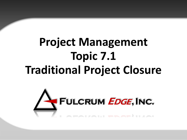# **Project Management Topic 7.1 Traditional Project Closure**

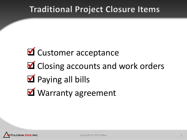### **Traditional Project Closure Items**

# $\blacksquare$  Customer acceptance  $\blacksquare$  Closing accounts and work orders **M** Paying all bills **M** Warranty agreement

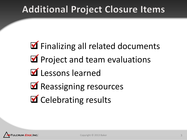### **Additional Project Closure Items**

**M** Finalizing all related documents **M** Project and team evaluations **M** Lessons learned **M** Reassigning resources **M** Celebrating results

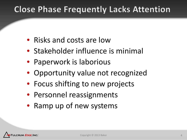### **Close Phase Frequently Lacks Attention**

- Risks and costs are low
- Stakeholder influence is minimal
- Paperwork is laborious
- Opportunity value not recognized
- Focus shifting to new projects
- Personnel reassignments
- Ramp up of new systems

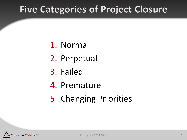### **Five Categories of Project Closure**

- 1. Normal
- 2. Perpetual
- 3. Failed
- 4. Premature
- 5. Changing Priorities

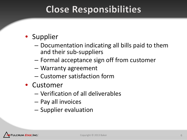### **Close Responsibilities**

#### • Supplier

- Documentation indicating all bills paid to them and their sub-suppliers
- Formal acceptance sign off from customer
- Warranty agreement
- Customer satisfaction form
- Customer
	- Verification of all deliverables
	- Pay all invoices
	- Supplier evaluation

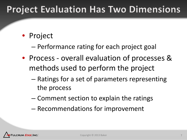### **Project Evaluation Has Two Dimensions**

#### • Project

- Performance rating for each project goal
- Process overall evaluation of processes & methods used to perform the project
	- Ratings for a set of parameters representing the process
	- Comment section to explain the ratings
	- Recommendations for improvement

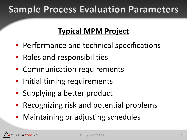### **Sample Process Evaluation Parameters**

#### **Typical MPM Project**

- Performance and technical specifications
- Roles and responsibilities
- Communication requirements
- Initial timing requirements
- Supplying a better product
- Recognizing risk and potential problems
- Maintaining or adjusting schedules